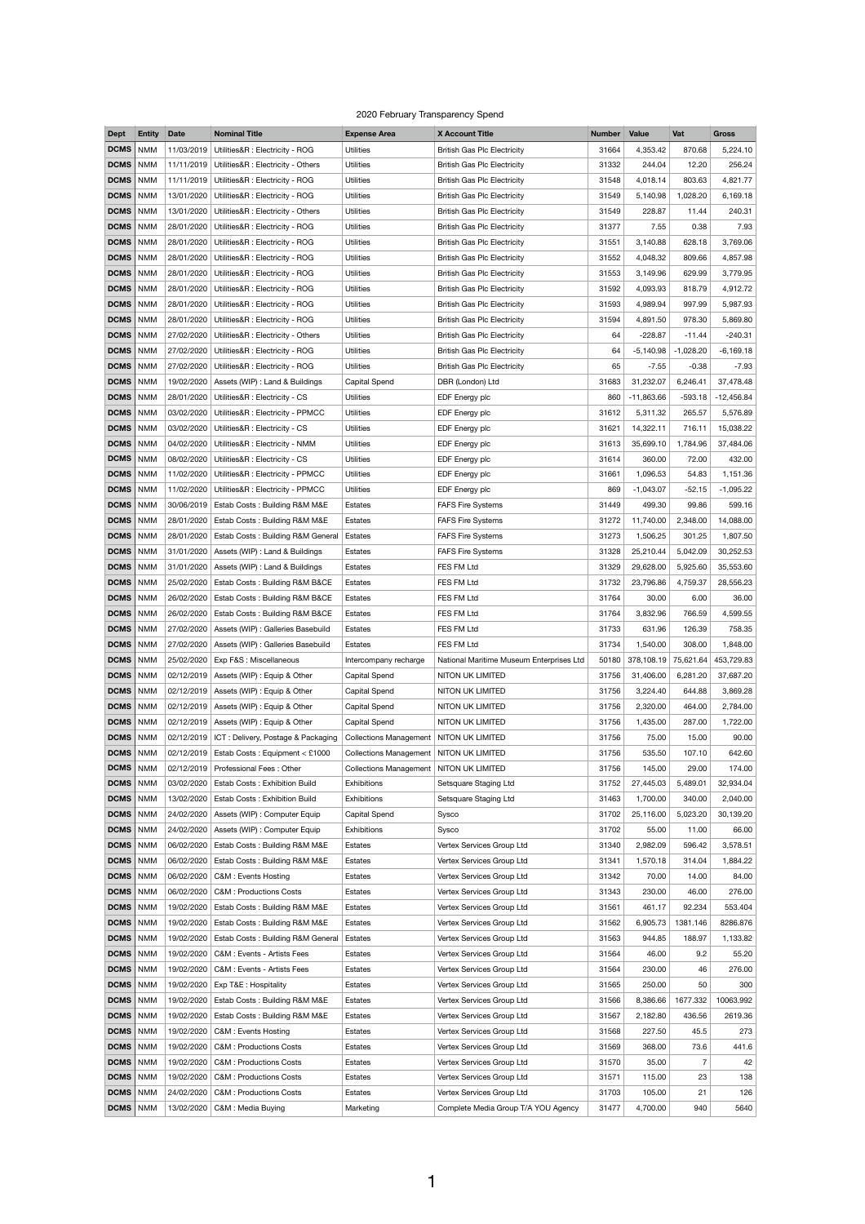## 2020 February Transparency Spend

| <b>Dept</b>       | <b>Entity</b> | <b>Date</b> | <b>Nominal Title</b>                       | <b>Expense Area</b>                       | <b>X Account Title</b>                   | <b>Number</b> | <b>Value</b> | Vat            | <b>Gross</b> |
|-------------------|---------------|-------------|--------------------------------------------|-------------------------------------------|------------------------------------------|---------------|--------------|----------------|--------------|
| <b>DCMS</b>       | <b>NMM</b>    | 11/03/2019  | Utilities&R : Electricity - ROG            | <b>Utilities</b>                          | <b>British Gas Plc Electricity</b>       | 31664         | 4,353.42     | 870.68         | 5,224.10     |
| <b>DCMS</b>       | <b>NMM</b>    | 11/11/2019  | Utilities&R : Electricity - Others         | <b>Utilities</b>                          | <b>British Gas Plc Electricity</b>       | 31332         | 244.04       | 12.20          | 256.24       |
| DCMS   NMM        |               | 11/11/2019  | Utilities&R : Electricity - ROG            | <b>Utilities</b>                          | <b>British Gas Plc Electricity</b>       | 31548         | 4,018.14     | 803.63         | 4,821.77     |
| DCMS   NMM        |               | 13/01/2020  | Utilities&R : Electricity - ROG            | <b>Utilities</b>                          | <b>British Gas Plc Electricity</b>       | 31549         | 5,140.98     | 1,028.20       | 6,169.18     |
| <b>DCMS</b>       | NMM           | 13/01/2020  | Utilities&R : Electricity - Others         | <b>Utilities</b>                          | <b>British Gas Plc Electricity</b>       | 31549         | 228.87       | 11.44          | 240.31       |
| DCMS   NMM        |               | 28/01/2020  | Utilities&R : Electricity - ROG            | <b>Utilities</b>                          | <b>British Gas Plc Electricity</b>       | 31377         | 7.55         | 0.38           | 7.93         |
| DCMS   NMM        |               | 28/01/2020  | Utilities&R : Electricity - ROG            | <b>Utilities</b>                          | <b>British Gas Plc Electricity</b>       | 31551         | 3,140.88     | 628.18         | 3,769.06     |
| <b>DCMS</b>       | <b>NMM</b>    | 28/01/2020  | Utilities&R : Electricity - ROG            | <b>Utilities</b>                          | <b>British Gas Plc Electricity</b>       | 31552         | 4,048.32     | 809.66         | 4,857.98     |
| DCMS   NMM        |               | 28/01/2020  | Utilities&R : Electricity - ROG            | <b>Utilities</b>                          | <b>British Gas Plc Electricity</b>       | 31553         | 3,149.96     | 629.99         | 3,779.95     |
| DCMS   NMM        |               | 28/01/2020  | Utilities&R : Electricity - ROG            | <b>Utilities</b>                          | <b>British Gas Plc Electricity</b>       | 31592         | 4,093.93     | 818.79         | 4,912.72     |
| <b>DCMS</b>       | NMM           | 28/01/2020  | Utilities&R : Electricity - ROG            | <b>Utilities</b>                          | <b>British Gas Plc Electricity</b>       | 31593         | 4,989.94     | 997.99         | 5,987.93     |
| DCMS   NMM        |               | 28/01/2020  | Utilities&R : Electricity - ROG            | <b>Utilities</b>                          | <b>British Gas Plc Electricity</b>       | 31594         | 4,891.50     | 978.30         | 5,869.80     |
| <b>DCMS</b> NMM   |               | 27/02/2020  | Utilities&R : Electricity - Others         | <b>Utilities</b>                          | <b>British Gas Plc Electricity</b>       | 64            | $-228.87$    | $-11.44$       | $-240.31$    |
| <b>DCMS</b>       | NMM           | 27/02/2020  | Utilities&R : Electricity - ROG            | <b>Utilities</b>                          | <b>British Gas Plc Electricity</b>       | 64            | $-5,140.98$  | $-1,028.20$    | $-6,169.18$  |
| <b>DCMS</b>       | NMM           | 27/02/2020  | Utilities&R : Electricity - ROG            | <b>Utilities</b>                          | <b>British Gas Plc Electricity</b>       | 65            | $-7.55$      | $-0.38$        | $-7.93$      |
| DCMS   NMM        |               | 19/02/2020  | Assets (WIP) : Land & Buildings            | Capital Spend                             | DBR (London) Ltd                         | 31683         | 31,232.07    | 6,246.41       | 37,478.48    |
| DCMS   NMM        |               | 28/01/2020  | Utilities&R : Electricity - CS             | <b>Utilities</b>                          | EDF Energy plc                           | 860           | $-11,863.66$ | $-593.18$      | $-12,456.84$ |
| <b>DCMS</b>       | NMM           | 03/02/2020  | Utilities&R : Electricity - PPMCC          | <b>Utilities</b>                          | EDF Energy plc                           | 31612         | 5,311.32     | 265.57         | 5,576.89     |
| DCMS   NMM        |               | 03/02/2020  | Utilities&R : Electricity - CS             | <b>Utilities</b>                          | EDF Energy plc                           | 31621         | 14,322.11    | 716.11         | 15,038.22    |
| DCMS   NMM        |               | 04/02/2020  | Utilities&R : Electricity - NMM            | <b>Utilities</b>                          | EDF Energy plc                           | 31613         | 35,699.10    | 1,784.96       | 37,484.06    |
| <b>DCMS</b>       | NMM           | 08/02/2020  | Utilities&R : Electricity - CS             | <b>Utilities</b>                          | EDF Energy plc                           | 31614         | 360.00       | 72.00          | 432.00       |
| <b>DCMS</b>   NMM |               | 11/02/2020  | Utilities&R : Electricity - PPMCC          | <b>Utilities</b>                          | EDF Energy plc                           | 31661         | 1,096.53     | 54.83          | 1,151.36     |
| DCMS   NMM        |               | 11/02/2020  | Utilities&R : Electricity - PPMCC          | <b>Utilities</b>                          | EDF Energy plc                           | 869           | $-1,043.07$  | $-52.15$       | $-1,095.22$  |
| DCMS   NMM        |               | 30/06/2019  | Estab Costs: Building R&M M&E              | <b>Estates</b>                            | <b>FAFS Fire Systems</b>                 | 31449         | 499.30       | 99.86          | 599.16       |
| DCMS   NMM        |               | 28/01/2020  | Estab Costs: Building R&M M&E              | Estates                                   | <b>FAFS Fire Systems</b>                 | 31272         | 11,740.00    | 2,348.00       | 14,088.00    |
| DCMS   NMM        |               | 28/01/2020  | Estab Costs: Building R&M General          | Estates                                   | <b>FAFS Fire Systems</b>                 | 31273         | 1,506.25     | 301.25         | 1,807.50     |
| DCMS   NMM        |               | 31/01/2020  | Assets (WIP) : Land & Buildings            | <b>Estates</b>                            | <b>FAFS Fire Systems</b>                 | 31328         | 25,210.44    | 5,042.09       | 30,252.53    |
| DCMS   NMM        |               | 31/01/2020  | Assets (WIP) : Land & Buildings            | <b>Estates</b>                            | FES FM Ltd                               | 31329         | 29,628.00    | 5,925.60       | 35,553.60    |
| DCMS   NMM        |               | 25/02/2020  | Estab Costs: Building R&M B&CE             | <b>Estates</b>                            | FES FM Ltd                               | 31732         | 23,796.86    | 4,759.37       | 28,556.23    |
| <b>DCMS</b> NMM   |               | 26/02/2020  | Estab Costs: Building R&M B&CE             | <b>Estates</b>                            | FES FM Ltd                               | 31764         | 30.00        | 6.00           | 36.00        |
| <b>DCMS</b>       | NMM           | 26/02/2020  | Estab Costs: Building R&M B&CE             | <b>Estates</b>                            | FES FM Ltd                               | 31764         | 3,832.96     | 766.59         | 4,599.55     |
| <b>DCMS</b>   NMM |               | 27/02/2020  | Assets (WIP) : Galleries Basebuild         | <b>Estates</b>                            | FES FM Ltd                               | 31733         | 631.96       | 126.39         | 758.35       |
| DCMS   NMM        |               | 27/02/2020  | Assets (WIP) : Galleries Basebuild         | <b>Estates</b>                            | FES FM Ltd                               | 31734         | 1,540.00     | 308.00         | 1,848.00     |
| <b>DCMS</b>       | NMM           | 25/02/2020  | Exp F&S : Miscellaneous                    | Intercompany recharge                     | National Maritime Museum Enterprises Ltd | 50180         | 378,108.19   | 75,621.64      | 453,729.83   |
| DCMS   NMM        |               | 02/12/2019  | Assets (WIP) : Equip & Other               | <b>Capital Spend</b>                      | NITON UK LIMITED                         | 31756         | 31,406.00    | 6,281.20       | 37,687.20    |
| DCMS   NMM        |               | 02/12/2019  | Assets (WIP) : Equip & Other               | <b>Capital Spend</b>                      | NITON UK LIMITED                         | 31756         | 3,224.40     | 644.88         | 3,869.28     |
| DCMS              | NMM           | 02/12/2019  | Assets (WIP) : Equip & Other               | <b>Capital Spend</b>                      | NITON UK LIMITED                         | 31756         | 2,320.00     | 464.00         | 2,784.00     |
| DCMS   NMM        |               | 02/12/2019  | Assets (WIP) : Equip & Other               | <b>Capital Spend</b>                      | NITON UK LIMITED                         | 31756         | 1,435.00     | 287.00         | 1,722.00     |
| DCMS   NMM        |               | 02/12/2019  | ICT: Delivery, Postage & Packaging         | <b>Collections Management</b>             | NITON UK LIMITED                         | 31756         | 75.00        | 15.00          | 90.00        |
| DCMS   NMM        |               | 02/12/2019  | Estab Costs: Equipment < £1000             | Collections Management   NITON UK LIMITED |                                          | 31756         | 535.50       | 107.10         | 642.60       |
| DCMS   NMM        |               | 02/12/2019  | Professional Fees: Other                   | Collections Management   NITON UK LIMITED |                                          | 31756         | 145.00       | 29.00          | 174.00       |
| DCMS   NMM        |               | 03/02/2020  | Estab Costs: Exhibition Build              | Exhibitions                               | Setsquare Staging Ltd                    | 31752         | 27,445.03    | 5,489.01       | 32,934.04    |
| DCMS   NMM        |               | 13/02/2020  | Estab Costs: Exhibition Build              | Exhibitions                               | Setsquare Staging Ltd                    | 31463         | 1,700.00     | 340.00         | 2,040.00     |
| <b>DCMS</b>   NMM |               |             | 24/02/2020   Assets (WIP) : Computer Equip | Capital Spend                             | Sysco                                    | 31702         | 25,116.00    | 5,023.20       | 30,139.20    |
| <b>DCMS</b>   NMM |               | 24/02/2020  | Assets (WIP) : Computer Equip              | <b>Exhibitions</b>                        | Sysco                                    | 31702         | 55.00        | 11.00          | 66.00        |
| DCMS   NMM        |               | 06/02/2020  | Estab Costs: Building R&M M&E              | <b>Estates</b>                            | Vertex Services Group Ltd                | 31340         | 2,982.09     | 596.42         | 3,578.51     |
| <b>DCMS</b>   NMM |               | 06/02/2020  | Estab Costs: Building R&M M&E              | <b>Estates</b>                            | Vertex Services Group Ltd                | 31341         | 1,570.18     | 314.04         | 1,884.22     |
| <b>DCMS</b>   NMM |               | 06/02/2020  | C&M : Events Hosting                       | <b>Estates</b>                            | Vertex Services Group Ltd                | 31342         | 70.00        | 14.00          | 84.00        |
| DCMS   NMM        |               | 06/02/2020  | <b>C&amp;M: Productions Costs</b>          | <b>Estates</b>                            | Vertex Services Group Ltd                | 31343         | 230.00       | 46.00          | 276.00       |
| <b>DCMS</b>   NMM |               | 19/02/2020  | Estab Costs: Building R&M M&E              | Estates                                   | Vertex Services Group Ltd                | 31561         | 461.17       | 92.234         | 553.404      |
| <b>DCMS</b>   NMM |               | 19/02/2020  | Estab Costs: Building R&M M&E              | <b>Estates</b>                            | Vertex Services Group Ltd                | 31562         | 6,905.73     | 1381.146       | 8286.876     |
| DCMS   NMM        |               | 19/02/2020  | Estab Costs: Building R&M General          | Estates                                   | Vertex Services Group Ltd                | 31563         | 944.85       | 188.97         | 1,133.82     |
| <b>DCMS</b>   NMM |               | 19/02/2020  | C&M : Events - Artists Fees                | <b>Estates</b>                            | Vertex Services Group Ltd                | 31564         | 46.00        | 9.2            | 55.20        |
| <b>DCMS</b>   NMM |               | 19/02/2020  | C&M : Events - Artists Fees                | <b>Estates</b>                            | Vertex Services Group Ltd                | 31564         | 230.00       | 46             | 276.00       |
| DCMS   NMM        |               | 19/02/2020  | Exp T&E : Hospitality                      | <b>Estates</b>                            | Vertex Services Group Ltd                | 31565         | 250.00       | 50             | 300          |
| <b>DCMS</b>   NMM |               | 19/02/2020  | Estab Costs: Building R&M M&E              | Estates                                   | Vertex Services Group Ltd                | 31566         | 8,386.66     | 1677.332       | 10063.992    |
| DCMS   NMM        |               | 19/02/2020  | Estab Costs: Building R&M M&E              | <b>Estates</b>                            | Vertex Services Group Ltd                | 31567         | 2,182.80     | 436.56         | 2619.36      |
| DCMS   NMM        |               | 19/02/2020  | C&M : Events Hosting                       | <b>Estates</b>                            | Vertex Services Group Ltd                | 31568         | 227.50       | 45.5           | 273          |
| <b>DCMS</b>   NMM |               | 19/02/2020  | <b>C&amp;M: Productions Costs</b>          | <b>Estates</b>                            | Vertex Services Group Ltd                | 31569         | 368.00       | 73.6           | 441.6        |
| <b>DCMS</b>   NMM |               | 19/02/2020  | <b>C&amp;M: Productions Costs</b>          | <b>Estates</b>                            | Vertex Services Group Ltd                | 31570         | 35.00        | $\overline{7}$ | 42           |
| DCMS   NMM        |               | 19/02/2020  | <b>C&amp;M: Productions Costs</b>          | <b>Estates</b>                            | Vertex Services Group Ltd                | 31571         | 115.00       | 23             | 138          |
| <b>DCMS</b>   NMM |               | 24/02/2020  | <b>C&amp;M: Productions Costs</b>          | <b>Estates</b>                            | Vertex Services Group Ltd                | 31703         | 105.00       | 21             | 126          |
| <b>DCMS</b>   NMM |               | 13/02/2020  | C&M : Media Buying                         | Marketing                                 | Complete Media Group T/A YOU Agency      | 31477         | 4,700.00     | 940            | 5640         |